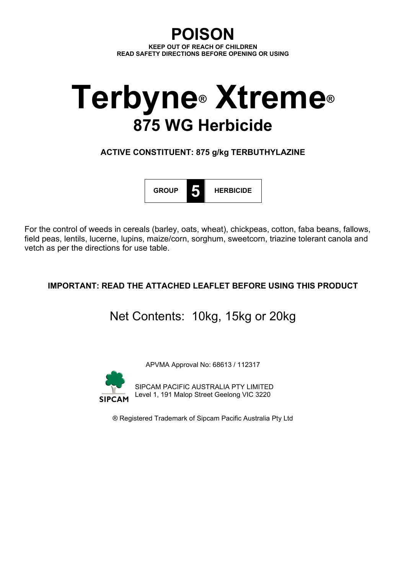**POISON KEEP OUT OF REACH OF CHILDREN READ SAFETY DIRECTIONS BEFORE OPENING OR USING**

# **Terbyne® Xtreme® 875 WG Herbicide**

**ACTIVE CONSTITUENT: 875 g/kg TERBUTHYLAZINE**



For the control of weeds in cereals (barley, oats, wheat), chickpeas, cotton, faba beans, fallows, field peas, lentils, lucerne, lupins, maize/corn, sorghum, sweetcorn, triazine tolerant canola and vetch as per the directions for use table.

# **IMPORTANT: READ THE ATTACHED LEAFLET BEFORE USING THIS PRODUCT**

Net Contents: 10kg, 15kg or 20kg

APVMA Approval No: 68613 / 112317



SIPCAM PACIFIC AUSTRALIA PTY LIMITED Level 1, 191 Malop Street Geelong VIC 3220

® Registered Trademark of Sipcam Pacific Australia Pty Ltd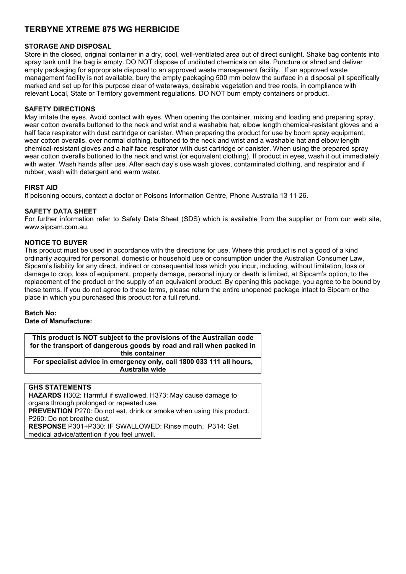# **TERBYNE XTREME 875 WG HERBICIDE**

# **STORAGE AND DISPOSAL**

Store in the closed, original container in a dry, cool, well-ventilated area out of direct sunlight. Shake bag contents into spray tank until the bag is empty. DO NOT dispose of undiluted chemicals on site. Puncture or shred and deliver empty packaging for appropriate disposal to an approved waste management facility. If an approved waste management facility is not available, bury the empty packaging 500 mm below the surface in a disposal pit specifically marked and set up for this purpose clear of waterways, desirable vegetation and tree roots, in compliance with relevant Local, State or Territory government regulations. DO NOT burn empty containers or product.

### **SAFETY DIRECTIONS**

May irritate the eyes. Avoid contact with eyes. When opening the container, mixing and loading and preparing spray, wear cotton overalls buttoned to the neck and wrist and a washable hat, elbow length chemical-resistant gloves and a half face respirator with dust cartridge or canister. When preparing the product for use by boom spray equipment, wear cotton overalls, over normal clothing, buttoned to the neck and wrist and a washable hat and elbow length chemical-resistant gloves and a half face respirator with dust cartridge or canister. When using the prepared spray wear cotton overalls buttoned to the neck and wrist (or equivalent clothing). If product in eyes, wash it out immediately with water. Wash hands after use. After each day's use wash gloves, contaminated clothing, and respirator and if rubber, wash with detergent and warm water.

#### **FIRST AID**

If poisoning occurs, contact a doctor or Poisons Information Centre, Phone Australia 13 11 26.

# **SAFETY DATA SHEET**

For further information refer to Safety Data Sheet (SDS) which is available from the supplier or from our web site, www.sipcam.com.au.

#### **NOTICE TO BUYER**

This product must be used in accordance with the directions for use. Where this product is not a good of a kind ordinarily acquired for personal, domestic or household use or consumption under the Australian Consumer Law, Sipcam's liability for any direct, indirect or consequential loss which you incur, including, without limitation, loss or damage to crop, loss of equipment, property damage, personal injury or death is limited, at Sipcam's option, to the replacement of the product or the supply of an equivalent product. By opening this package, you agree to be bound by these terms. If you do not agree to these terms, please return the entire unopened package intact to Sipcam or the place in which you purchased this product for a full refund.

# **Batch No: Date of Manufacture:**

**This product is NOT subject to the provisions of the Australian code for the transport of dangerous goods by road and rail when packed in this container For specialist advice in emergency only, call 1800 033 111 all hours, Australia wide**

# **GHS STATEMENTS**

**HAZARDS** H302: Harmful if swallowed. H373: May cause damage to organs through prolonged or repeated use. **PREVENTION** P270: Do not eat, drink or smoke when using this product. P260: Do not breathe dust. **RESPONSE** P301+P330: IF SWALLOWED: Rinse mouth. P314: Get medical advice/attention if you feel unwell.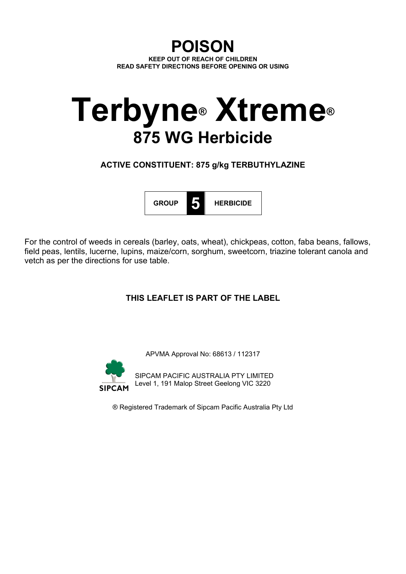# **POISON KEEP OUT OF REACH OF CHILDREN READ SAFETY DIRECTIONS BEFORE OPENING OR USING**

# **Terbyne® Xtreme® 875 WG Herbicide**

**ACTIVE CONSTITUENT: 875 g/kg TERBUTHYLAZINE**



For the control of weeds in cereals (barley, oats, wheat), chickpeas, cotton, faba beans, fallows, field peas, lentils, lucerne, lupins, maize/corn, sorghum, sweetcorn, triazine tolerant canola and vetch as per the directions for use table.

# **THIS LEAFLET IS PART OF THE LABEL**

APVMA Approval No: 68613 / 112317



SIPCAM PACIFIC AUSTRALIA PTY LIMITED Level 1, 191 Malop Street Geelong VIC 3220

® Registered Trademark of Sipcam Pacific Australia Pty Ltd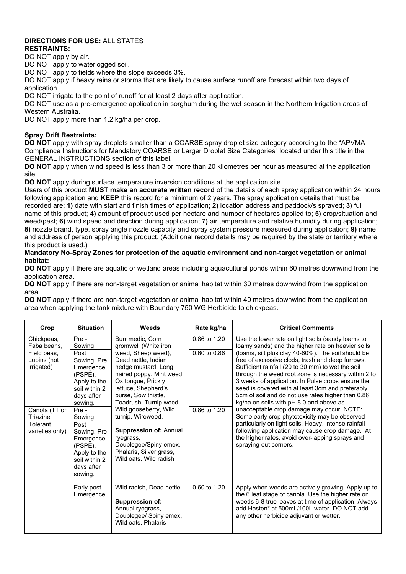# **DIRECTIONS FOR USE:** ALL STATES **RESTRAINTS:**

DO NOT apply by air.

DO NOT apply to waterlogged soil.

DO NOT apply to fields where the slope exceeds 3%.

DO NOT apply if heavy rains or storms that are likely to cause surface runoff are forecast within two days of application

DO NOT irrigate to the point of runoff for at least 2 days after application.

DO NOT use as a pre-emergence application in sorghum during the wet season in the Northern Irrigation areas of Western Australia.

DO NOT apply more than 1.2 kg/ha per crop.

# **Spray Drift Restraints:**

**DO NOT** apply with spray droplets smaller than a COARSE spray droplet size category according to the "APVMA Compliance Instructions for Mandatory COARSE or Larger Droplet Size Categories" located under this title in the GENERAL INSTRUCTIONS section of this label.

**DO NOT** apply when wind speed is less than 3 or more than 20 kilometres per hour as measured at the application site.

**DO NOT** apply during surface temperature inversion conditions at the application site

Users of this product **MUST make an accurate written record** of the details of each spray application within 24 hours following application and **KEEP** this record for a minimum of 2 years. The spray application details that must be recorded are: **1)** date with start and finish times of application; **2)** location address and paddock/s sprayed; **3)** full name of this product; **4)** amount of product used per hectare and number of hectares applied to; **5)** crop/situation and weed/pest; **6)** wind speed and direction during application; **7)** air temperature and relative humidity during application; **8)** nozzle brand, type, spray angle nozzle capacity and spray system pressure measured during application; **9)** name and address of person applying this product. (Additional record details may be required by the state or territory where this product is used.)

# **Mandatory No-Spray Zones for protection of the aquatic environment and non-target vegetation or animal habitat:**

**DO NOT** apply if there are aquatic or wetland areas including aquacultural ponds within 60 metres downwind from the application area.

**DO NOT** apply if there are non-target vegetation or animal habitat within 30 metres downwind from the application area.

**DO NOT** apply if there are non-target vegetation or animal habitat within 40 metres downwind from the application area when applying the tank mixture with Boundary 750 WG Herbicide to chickpeas.

| Crop                                                                                                                                                                                                                                | <b>Situation</b>                                                        | <b>Weeds</b>                                                                                                                                                                                                                                                                                                                                                                                                     | Rate kg/ha                       | <b>Critical Comments</b>                                                                                                                                                                                                                                                                                          |  |
|-------------------------------------------------------------------------------------------------------------------------------------------------------------------------------------------------------------------------------------|-------------------------------------------------------------------------|------------------------------------------------------------------------------------------------------------------------------------------------------------------------------------------------------------------------------------------------------------------------------------------------------------------------------------------------------------------------------------------------------------------|----------------------------------|-------------------------------------------------------------------------------------------------------------------------------------------------------------------------------------------------------------------------------------------------------------------------------------------------------------------|--|
| Pre -<br>Chickpeas,<br>Faba beans,<br>Sowing<br>Field peas,<br>Post<br>Lupins (not<br>irrigated)<br>(PSPE).<br>sowing.<br>Canola (TT or<br>Pre -<br>Triazine<br>Sowing<br>Tolerant<br>Post<br>varieties only)<br>(PSPE).<br>sowing. | Sowing, Pre                                                             | Burr medic, Corn<br>gromwell (White iron<br>weed, Sheep weed),<br>Dead nettle, Indian<br>hedge mustard, Long<br>haired poppy, Mint weed,<br>Ox tongue, Prickly<br>lettuce, Shepherd's<br>purse, Sow thistle,<br>Toadrush, Turnip weed,<br>Wild gooseberry, Wild<br>turnip, Wireweed.<br><b>Suppression of: Annual</b><br>ryegrass,<br>Doublegee/Spiny emex,<br>Phalaris, Silver grass,<br>Wild oats, Wild radish | 0.86 to 1.20<br>$0.60$ to $0.86$ | Use the lower rate on light soils (sandy loams to<br>loamy sands) and the higher rate on heavier soils<br>(loams, silt plus clay 40-60%). The soil should be<br>free of excessive clods, trash and deep furrows.                                                                                                  |  |
|                                                                                                                                                                                                                                     | Emergence<br>Apply to the<br>soil within 2<br>days after                |                                                                                                                                                                                                                                                                                                                                                                                                                  |                                  | Sufficient rainfall (20 to 30 mm) to wet the soil<br>through the weed root zone is necessary within 2 to<br>3 weeks of application. In Pulse crops ensure the<br>seed is covered with at least 3cm and preferably<br>5cm of soil and do not use rates higher than 0.86<br>kg/ha on soils with pH 8.0 and above as |  |
|                                                                                                                                                                                                                                     | Sowing, Pre<br>Emergence<br>Apply to the<br>soil within 2<br>days after |                                                                                                                                                                                                                                                                                                                                                                                                                  | 0.86 to 1.20                     | unacceptable crop damage may occur. NOTE:<br>Some early crop phytotoxicity may be observed<br>particularly on light soils. Heavy, intense rainfall<br>following application may cause crop damage. At<br>the higher rates, avoid over-lapping sprays and<br>spraying-out corners.                                 |  |
|                                                                                                                                                                                                                                     | Early post<br>Emergence                                                 | Wild radish, Dead nettle<br><b>Suppression of:</b><br>Annual ryegrass,<br>Doublegee/ Spiny emex,<br>Wild oats, Phalaris                                                                                                                                                                                                                                                                                          | $0.60$ to $1.\overline{20}$      | Apply when weeds are actively growing. Apply up to<br>the 6 leaf stage of canola. Use the higher rate on<br>weeds 6-8 true leaves at time of application. Always<br>add Hasten* at 500mL/100L water. DO NOT add<br>any other herbicide adjuvant or wetter.                                                        |  |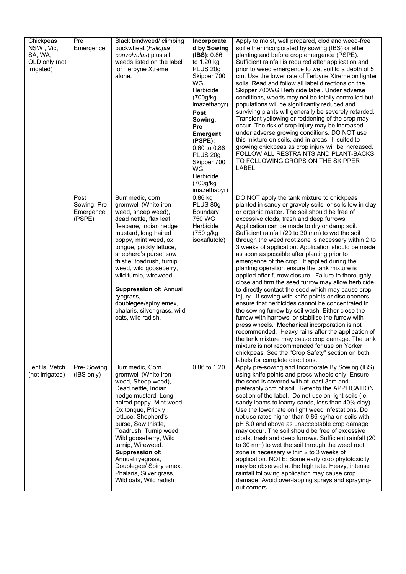| Chickpeas<br>NSW, Vic,<br>SA, WA,<br>QLD only (not<br>irrigated) | Pre<br>Emergence                           | Black bindweed/ climbing<br>buckwheat (Fallopia<br>convolvulus) plus all<br>weeds listed on the label<br>for Terbyne Xtreme<br>alone.                                                                                                                                                                                                                                                                                                 | Incorporate<br>d by Sowing<br>(IBS): 0.86<br>to 1.20 kg<br>PLUS 20g<br>Skipper 700<br>WG<br>Herbicide<br>(700g/kg)<br>imazethapyr)<br>Post<br>Sowing,<br><b>Pre</b><br><b>Emergent</b><br>(PSPE):<br>0.60 to 0.86<br>PLUS 20g<br>Skipper 700<br>WG<br>Herbicide<br>(700g/kg)<br>imazethapyr) | Apply to moist, well prepared, clod and weed-free<br>soil either incorporated by sowing (IBS) or after<br>planting and before crop emergence (PSPE).<br>Sufficient rainfall is required after application and<br>prior to weed emergence to wet soil to a depth of 5<br>cm. Use the lower rate of Terbyne Xtreme on lighter<br>soils. Read and follow all label directions on the<br>Skipper 700WG Herbicide label. Under adverse<br>conditions, weeds may not be totally controlled but<br>populations will be significantly reduced and<br>surviving plants will generally be severely retarded.<br>Transient yellowing or reddening of the crop may<br>occur. The risk of crop injury may be increased<br>under adverse growing conditions. DO NOT use<br>this mixture on soils, and in areas, ill-suited to<br>growing chickpeas as crop injury will be increased.<br>FOLLOW ALL RESTRAINTS AND PLANT-BACKS<br>TO FOLLOWING CROPS ON THE SKIPPER<br>LABEL.                                                                                                                                                                                                                                                                                               |
|------------------------------------------------------------------|--------------------------------------------|---------------------------------------------------------------------------------------------------------------------------------------------------------------------------------------------------------------------------------------------------------------------------------------------------------------------------------------------------------------------------------------------------------------------------------------|----------------------------------------------------------------------------------------------------------------------------------------------------------------------------------------------------------------------------------------------------------------------------------------------|--------------------------------------------------------------------------------------------------------------------------------------------------------------------------------------------------------------------------------------------------------------------------------------------------------------------------------------------------------------------------------------------------------------------------------------------------------------------------------------------------------------------------------------------------------------------------------------------------------------------------------------------------------------------------------------------------------------------------------------------------------------------------------------------------------------------------------------------------------------------------------------------------------------------------------------------------------------------------------------------------------------------------------------------------------------------------------------------------------------------------------------------------------------------------------------------------------------------------------------------------------------|
|                                                                  | Post<br>Sowing, Pre<br>Emergence<br>(PSPE) | Burr medic, corn<br>gromwell (White iron<br>weed, sheep weed),<br>dead nettle, flax leaf<br>fleabane, Indian hedge<br>mustard, long haired<br>poppy, mint weed, ox<br>tongue, prickly lettuce,<br>shepherd's purse, sow<br>thistle, toadrush, turnip<br>weed, wild gooseberry,<br>wild turnip, wireweed.<br><b>Suppression of: Annual</b><br>ryegrass,<br>doublegee/spiny emex,<br>phalaris, silver grass, wild<br>oats, wild radish. | $0.86$ kg<br>PLUS 80g<br>Boundary<br>750 WG<br>Herbicide<br>(750 g/kg)<br>isoxaflutole)                                                                                                                                                                                                      | DO NOT apply the tank mixture to chickpeas<br>planted in sandy or gravely soils, or soils low in clay<br>or organic matter. The soil should be free of<br>excessive clods, trash and deep furrows.<br>Application can be made to dry or damp soil.<br>Sufficient rainfall (20 to 30 mm) to wet the soil<br>through the weed root zone is necessary within 2 to<br>3 weeks of application. Application should be made<br>as soon as possible after planting prior to<br>emergence of the crop. If applied during the<br>planting operation ensure the tank mixture is<br>applied after furrow closure. Failure to thoroughly<br>close and firm the seed furrow may allow herbicide<br>to directly contact the seed which may cause crop<br>injury. If sowing with knife points or disc openers,<br>ensure that herbicides cannot be concentrated in<br>the sowing furrow by soil wash. Either close the<br>furrow with harrows, or stabilise the furrow with<br>press wheels. Mechanical incorporation is not<br>recommended. Heavy rains after the application of<br>the tank mixture may cause crop damage. The tank<br>mixture is not recommended for use on Yorker<br>chickpeas. See the "Crop Safety" section on both<br>labels for complete directions. |
| Lentils, Vetch<br>(not irrigated)                                | Pre-Sowing<br>(IBS only)                   | Burr medic, Corn<br>gromwell (White iron<br>weed, Sheep weed),<br>Dead nettle, Indian<br>hedge mustard, Long<br>haired poppy, Mint weed,<br>Ox tongue, Prickly<br>lettuce, Shepherd's<br>purse, Sow thistle,<br>Toadrush, Turnip weed,<br>Wild gooseberry, Wild<br>turnip, Wireweed.<br><b>Suppression of:</b><br>Annual ryegrass,<br>Doublegee/ Spiny emex,<br>Phalaris, Silver grass,<br>Wild oats, Wild radish                     | 0.86 to 1.20                                                                                                                                                                                                                                                                                 | Apply pre-sowing and Incorporate By Sowing (IBS)<br>using knife points and press-wheels only. Ensure<br>the seed is covered with at least 3cm and<br>preferably 5cm of soil. Refer to the APPLICATION<br>section of the label. Do not use on light soils (ie,<br>sandy loams to loamy sands, less than 40% clay).<br>Use the lower rate on light weed infestations. Do<br>not use rates higher than 0.86 kg/ha on soils with<br>pH 8.0 and above as unacceptable crop damage<br>may occur. The soil should be free of excessive<br>clods, trash and deep furrows. Sufficient rainfall (20<br>to 30 mm) to wet the soil through the weed root<br>zone is necessary within 2 to 3 weeks of<br>application. NOTE: Some early crop phytotoxicity<br>may be observed at the high rate. Heavy, intense<br>rainfall following application may cause crop<br>damage. Avoid over-lapping sprays and spraying-<br>out corners.                                                                                                                                                                                                                                                                                                                                         |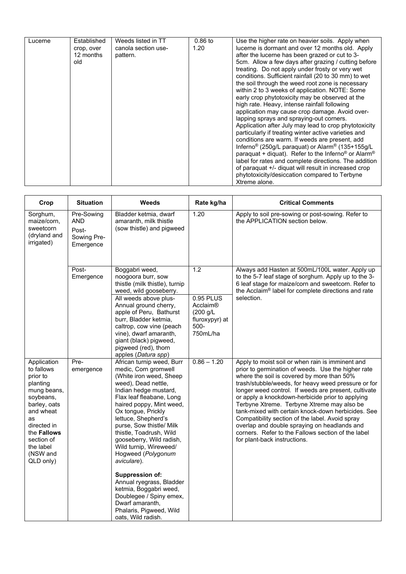| Lucerne | Established<br>crop, over<br>12 months<br>old | Weeds listed in TT<br>canola section use-<br>pattern. | $0.86$ to<br>1.20 | Use the higher rate on heavier soils. Apply when<br>lucerne is dormant and over 12 months old. Apply<br>after the lucerne has been grazed or cut to 3-<br>5cm. Allow a few days after grazing / cutting before<br>treating. Do not apply under frosty or very wet<br>conditions. Sufficient rainfall (20 to 30 mm) to wet<br>the soil through the weed root zone is necessary<br>within 2 to 3 weeks of application. NOTE: Some<br>early crop phytotoxicity may be observed at the<br>high rate. Heavy, intense rainfall following<br>application may cause crop damage. Avoid over-<br>lapping sprays and spraying-out corners.<br>Application after July may lead to crop phytotoxicity<br>particularly if treating winter active varieties and<br>conditions are warm. If weeds are present, add<br>Inferno <sup>®</sup> (250g/L paraquat) or Alarm <sup>®</sup> (135+155g/L<br>paraquat + diquat). Refer to the Inferno <sup>®</sup> or Alarm <sup>®</sup><br>label for rates and complete directions. The addition<br>of paraquat +/- diquat will result in increased crop<br>phytotoxicity/desiccation compared to Terbyne<br>Xtreme alone. |  |
|---------|-----------------------------------------------|-------------------------------------------------------|-------------------|---------------------------------------------------------------------------------------------------------------------------------------------------------------------------------------------------------------------------------------------------------------------------------------------------------------------------------------------------------------------------------------------------------------------------------------------------------------------------------------------------------------------------------------------------------------------------------------------------------------------------------------------------------------------------------------------------------------------------------------------------------------------------------------------------------------------------------------------------------------------------------------------------------------------------------------------------------------------------------------------------------------------------------------------------------------------------------------------------------------------------------------------------|--|
|---------|-----------------------------------------------|-------------------------------------------------------|-------------------|---------------------------------------------------------------------------------------------------------------------------------------------------------------------------------------------------------------------------------------------------------------------------------------------------------------------------------------------------------------------------------------------------------------------------------------------------------------------------------------------------------------------------------------------------------------------------------------------------------------------------------------------------------------------------------------------------------------------------------------------------------------------------------------------------------------------------------------------------------------------------------------------------------------------------------------------------------------------------------------------------------------------------------------------------------------------------------------------------------------------------------------------------|--|

| Crop                                                                                                                                                                                                      | <b>Situation</b>                                              | <b>Weeds</b>                                                                                                                                                                                                                                                                                                                                                                                                                                                                                                                                                       | Rate kg/ha                                                                             | <b>Critical Comments</b>                                                                                                                                                                                                                                                                                                                                                                                                                                                                                                                                                                                             |
|-----------------------------------------------------------------------------------------------------------------------------------------------------------------------------------------------------------|---------------------------------------------------------------|--------------------------------------------------------------------------------------------------------------------------------------------------------------------------------------------------------------------------------------------------------------------------------------------------------------------------------------------------------------------------------------------------------------------------------------------------------------------------------------------------------------------------------------------------------------------|----------------------------------------------------------------------------------------|----------------------------------------------------------------------------------------------------------------------------------------------------------------------------------------------------------------------------------------------------------------------------------------------------------------------------------------------------------------------------------------------------------------------------------------------------------------------------------------------------------------------------------------------------------------------------------------------------------------------|
| Sorghum,<br>maize/corn,<br>sweetcorn<br>(dryland and<br>irrigated)                                                                                                                                        | Pre-Sowing<br><b>AND</b><br>Post-<br>Sowing Pre-<br>Emergence | Bladder ketmia, dwarf<br>amaranth, milk thistle<br>(sow thistle) and pigweed                                                                                                                                                                                                                                                                                                                                                                                                                                                                                       | 1.20                                                                                   | Apply to soil pre-sowing or post-sowing. Refer to<br>the APPLICATION section below.                                                                                                                                                                                                                                                                                                                                                                                                                                                                                                                                  |
|                                                                                                                                                                                                           | Post-<br>Emergence                                            | Boggabri weed,<br>noogoora burr, sow<br>thistle (milk thistle), turnip<br>weed, wild gooseberry.<br>All weeds above plus-<br>Annual ground cherry,<br>apple of Peru, Bathurst<br>burr, Bladder ketmia,<br>caltrop, cow vine (peach<br>vine), dwarf amaranth,<br>giant (black) pigweed,<br>pigweed (red), thorn<br>apples (Datura spp)                                                                                                                                                                                                                              | 1.2<br>0.95 PLUS<br><b>Acclaim®</b><br>(200 g/L)<br>fluroxypyr) at<br>500-<br>750mL/ha | Always add Hasten at 500mL/100L water. Apply up<br>to the 5-7 leaf stage of sorghum. Apply up to the 3-<br>6 leaf stage for maize/corn and sweetcorn. Refer to<br>the Acclaim® label for complete directions and rate<br>selection.                                                                                                                                                                                                                                                                                                                                                                                  |
| Application<br>to fallows<br>prior to<br>planting<br>mung beans,<br>soybeans,<br>barley, oats<br>and wheat<br>as<br>directed in<br>the <b>Fallows</b><br>section of<br>the label<br>(NSW and<br>QLD only) | Pre-<br>emergence                                             | African turnip weed, Burr<br>medic, Corn gromwell<br>(White iron weed, Sheep<br>weed), Dead nettle,<br>Indian hedge mustard,<br>Flax leaf fleabane, Long<br>haired poppy, Mint weed,<br>Ox tongue, Prickly<br>lettuce, Shepherd's<br>purse, Sow thistle/ Milk<br>thistle, Toadrush, Wild<br>gooseberry, Wild radish,<br>Wild turnip, Wireweed/<br>Hogweed (Polygonum<br>aviculare).<br><b>Suppression of:</b><br>Annual ryegrass, Bladder<br>ketmia, Boggabri weed,<br>Doublegee / Spiny emex,<br>Dwarf amaranth,<br>Phalaris, Pigweed, Wild<br>oats, Wild radish. | $0.86 - 1.20$                                                                          | Apply to moist soil or when rain is imminent and<br>prior to germination of weeds. Use the higher rate<br>where the soil is covered by more than 50%<br>trash/stubble/weeds, for heavy weed pressure or for<br>longer weed control. If weeds are present, cultivate<br>or apply a knockdown-herbicide prior to applying<br>Terbyne Xtreme. Terbyne Xtreme may also be<br>tank-mixed with certain knock-down herbicides. See<br>Compatibility section of the label. Avoid spray<br>overlap and double spraying on headlands and<br>corners. Refer to the Fallows section of the label<br>for plant-back instructions. |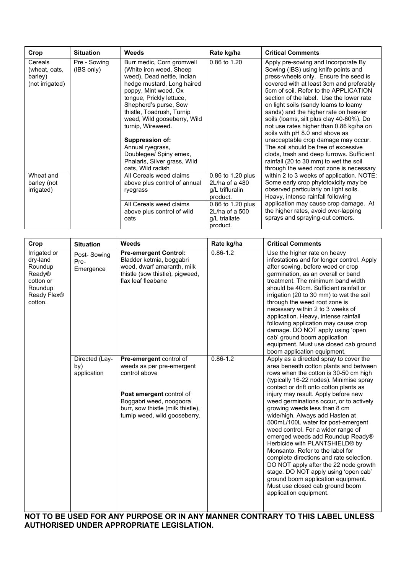| Crop                                                   | <b>Situation</b>           | Weeds                                                                                                                                                                                                                                                                           | Rate kg/ha                                                                                        | <b>Critical Comments</b>                                                                                                                                                                                                                                                                                                                                                                                                     |
|--------------------------------------------------------|----------------------------|---------------------------------------------------------------------------------------------------------------------------------------------------------------------------------------------------------------------------------------------------------------------------------|---------------------------------------------------------------------------------------------------|------------------------------------------------------------------------------------------------------------------------------------------------------------------------------------------------------------------------------------------------------------------------------------------------------------------------------------------------------------------------------------------------------------------------------|
| Cereals<br>(wheat, oats,<br>barley)<br>(not irrigated) | Pre - Sowing<br>(IBS only) | Burr medic, Corn gromwell<br>(White iron weed, Sheep)<br>weed), Dead nettle, Indian<br>hedge mustard, Long haired<br>poppy, Mint weed, Ox<br>tongue, Prickly lettuce,<br>Shepherd's purse, Sow<br>thistle, Toadrush, Turnip<br>weed, Wild gooseberry, Wild<br>turnip, Wireweed. | 0.86 to 1.20                                                                                      | Apply pre-sowing and Incorporate By<br>Sowing (IBS) using knife points and<br>press-wheels only. Ensure the seed is<br>covered with at least 3cm and preferably<br>5cm of soil. Refer to the APPLICATION<br>section of the label. Use the lower rate<br>on light soils (sandy loams to loamy<br>sands) and the higher rate on heavier<br>soils (loams, silt plus clay 40-60%). Do<br>not use rates higher than 0.86 kg/ha on |
| Wheat and<br>barley (not                               |                            | <b>Suppression of:</b><br>Annual ryegrass,<br>Doublegee/ Spiny emex,<br>Phalaris, Silver grass, Wild<br>oats, Wild radish<br>All Cereals weed claims<br>above plus control of annual                                                                                            | 0.86 to 1.20 plus<br>$2L/ha$ of a 480                                                             | soils with pH 8.0 and above as<br>unacceptable crop damage may occur.<br>The soil should be free of excessive<br>clods, trash and deep furrows. Sufficient<br>rainfall (20 to 30 mm) to wet the soil<br>through the weed root zone is necessary<br>within 2 to 3 weeks of application. NOTE:<br>Some early crop phytotoxicity may be                                                                                         |
| irrigated)                                             |                            | ryegrass<br>All Cereals weed claims<br>above plus control of wild<br>oats                                                                                                                                                                                                       | g/L trifluralin<br>product.<br>0.86 to 1.20 plus<br>$2L/ha$ of a 500<br>g/L triallate<br>product. | observed particularly on light soils.<br>Heavy, intense rainfall following<br>application may cause crop damage. At<br>the higher rates, avoid over-lapping<br>sprays and spraying-out corners.                                                                                                                                                                                                                              |

| Crop                                                                                            | <b>Situation</b>                     | Weeds                                                                                                                                                                                                     | Rate kg/ha   | <b>Critical Comments</b>                                                                                                                                                                                                                                                                                                                                                                                                                                                                                                                                                                                                                                                                                                                                                                 |
|-------------------------------------------------------------------------------------------------|--------------------------------------|-----------------------------------------------------------------------------------------------------------------------------------------------------------------------------------------------------------|--------------|------------------------------------------------------------------------------------------------------------------------------------------------------------------------------------------------------------------------------------------------------------------------------------------------------------------------------------------------------------------------------------------------------------------------------------------------------------------------------------------------------------------------------------------------------------------------------------------------------------------------------------------------------------------------------------------------------------------------------------------------------------------------------------------|
| Irrigated or<br>dry-land<br>Roundup<br>Ready®<br>cotton or<br>Roundup<br>Ready Flex®<br>cotton. | Post-Sowing<br>Pre-<br>Emergence     | <b>Pre-emergent Control:</b><br>Bladder ketmia, boggabri<br>weed, dwarf amaranth, milk<br>thistle (sow thistle), pigweed,<br>flax leaf fleabane                                                           | $0.86 - 1.2$ | Use the higher rate on heavy<br>infestations and for longer control. Apply<br>after sowing, before weed or crop<br>germination, as an overall or band<br>treatment. The minimum band width<br>should be 40cm. Sufficient rainfall or<br>irrigation (20 to 30 mm) to wet the soil<br>through the weed root zone is<br>necessary within 2 to 3 weeks of<br>application. Heavy, intense rainfall<br>following application may cause crop<br>damage. DO NOT apply using 'open<br>cab' ground boom application<br>equipment. Must use closed cab ground<br>boom application equipment.                                                                                                                                                                                                        |
|                                                                                                 | Directed (Lay-<br>by)<br>application | <b>Pre-emergent control of</b><br>weeds as per pre-emergent<br>control above<br>Post emergent control of<br>Boggabri weed, noogoora<br>burr, sow thistle (milk thistle),<br>turnip weed, wild gooseberry. | $0.86 - 1.2$ | Apply as a directed spray to cover the<br>area beneath cotton plants and between<br>rows when the cotton is 30-50 cm high<br>(typically 16-22 nodes). Minimise spray<br>contact or drift onto cotton plants as<br>injury may result. Apply before new<br>weed germinations occur, or to actively<br>growing weeds less than 8 cm<br>wide/high. Always add Hasten at<br>500mL/100L water for post-emergent<br>weed control. For a wider range of<br>emerged weeds add Roundup Ready®<br>Herbicide with PLANTSHIELD® by<br>Monsanto. Refer to the label for<br>complete directions and rate selection.<br>DO NOT apply after the 22 node growth<br>stage. DO NOT apply using 'open cab'<br>ground boom application equipment.<br>Must use closed cab ground boom<br>application equipment. |

**NOT TO BE USED FOR ANY PURPOSE OR IN ANY MANNER CONTRARY TO THIS LABEL UNLESS AUTHORISED UNDER APPROPRIATE LEGISLATION.**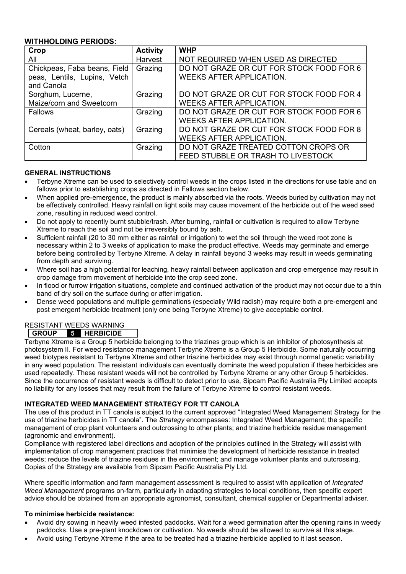# **WITHHOLDING PERIODS:**

| Crop                                                                       | <b>Activity</b> | <b>WHP</b>                                                                  |  |  |
|----------------------------------------------------------------------------|-----------------|-----------------------------------------------------------------------------|--|--|
| All                                                                        | Harvest         | NOT REQUIRED WHEN USED AS DIRECTED                                          |  |  |
| Chickpeas, Faba beans, Field<br>peas, Lentils, Lupins, Vetch<br>and Canola | Grazing         | DO NOT GRAZE OR CUT FOR STOCK FOOD FOR 6<br><b>WEEKS AFTER APPLICATION.</b> |  |  |
| Sorghum, Lucerne,                                                          | Grazing         | DO NOT GRAZE OR CUT FOR STOCK FOOD FOR 4                                    |  |  |
| Maize/corn and Sweetcorn                                                   |                 | <b>WEEKS AFTER APPLICATION.</b>                                             |  |  |
| Fallows                                                                    | Grazing         | DO NOT GRAZE OR CUT FOR STOCK FOOD FOR 6<br><b>WEEKS AFTER APPLICATION.</b> |  |  |
| Cereals (wheat, barley, oats)                                              | Grazing         | DO NOT GRAZE OR CUT FOR STOCK FOOD FOR 8                                    |  |  |
|                                                                            |                 | <b>WEEKS AFTER APPLICATION.</b>                                             |  |  |
| Cotton                                                                     | Grazing         | DO NOT GRAZE TREATED COTTON CROPS OR                                        |  |  |
|                                                                            |                 | FEED STUBBLE OR TRASH TO LIVESTOCK                                          |  |  |

# **GENERAL INSTRUCTIONS**

- Terbyne Xtreme can be used to selectively control weeds in the crops listed in the directions for use table and on fallows prior to establishing crops as directed in Fallows section below.
- When applied pre-emergence, the product is mainly absorbed via the roots. Weeds buried by cultivation may not be effectively controlled. Heavy rainfall on light soils may cause movement of the herbicide out of the weed seed zone, resulting in reduced weed control.
- Do not apply to recently burnt stubble/trash. After burning, rainfall or cultivation is required to allow Terbyne Xtreme to reach the soil and not be irreversibly bound by ash.
- Sufficient rainfall (20 to 30 mm either as rainfall or irrigation) to wet the soil through the weed root zone is necessary within 2 to 3 weeks of application to make the product effective. Weeds may germinate and emerge before being controlled by Terbyne Xtreme. A delay in rainfall beyond 3 weeks may result in weeds germinating from depth and surviving.
- Where soil has a high potential for leaching, heavy rainfall between application and crop emergence may result in crop damage from movement of herbicide into the crop seed zone.
- In flood or furrow irrigation situations, complete and continued activation of the product may not occur due to a thin band of dry soil on the surface during or after irrigation.
- Dense weed populations and multiple germinations (especially Wild radish) may require both a pre-emergent and post emergent herbicide treatment (only one being Terbyne Xtreme) to give acceptable control.

# RESISTANT WEEDS WARNING

# **GROUP 5 HERBICIDE**

Terbyne Xtreme is a Group 5 herbicide belonging to the triazines group which is an inhibitor of photosynthesis at photosystem II. For weed resistance management Terbyne Xtreme is a Group 5 Herbicide. Some naturally occurring weed biotypes resistant to Terbyne Xtreme and other triazine herbicides may exist through normal genetic variability in any weed population. The resistant individuals can eventually dominate the weed population if these herbicides are used repeatedly. These resistant weeds will not be controlled by Terbyne Xtreme or any other Group 5 herbicides. Since the occurrence of resistant weeds is difficult to detect prior to use, Sipcam Pacific Australia Pty Limited accepts no liability for any losses that may result from the failure of Terbyne Xtreme to control resistant weeds.

# **INTEGRATED WEED MANAGEMENT STRATEGY FOR TT CANOLA**

The use of this product in TT canola is subject to the current approved "Integrated Weed Management Strategy for the use of triazine herbicides in TT canola". The *Strategy* encompasses: Integrated Weed Management; the specific management of crop plant volunteers and outcrossing to other plants; and triazine herbicide residue management (agronomic and environment).

Compliance with registered label directions and adoption of the principles outlined in the Strategy will assist with implementation of crop management practices that minimise the development of herbicide resistance in treated weeds; reduce the levels of triazine residues in the environment; and manage volunteer plants and outcrossing. Copies of the Strategy are available from Sipcam Pacific Australia Pty Ltd.

Where specific information and farm management assessment is required to assist with application of *Integrated Weed Management* programs on-farm, particularly in adapting strategies to local conditions, then specific expert advice should be obtained from an appropriate agronomist, consultant, chemical supplier or Departmental adviser.

#### **To minimise herbicide resistance:**

- Avoid dry sowing in heavily weed infested paddocks. Wait for a weed germination after the opening rains in weedy paddocks. Use a pre-plant knockdown or cultivation. No weeds should be allowed to survive at this stage.
- Avoid using Terbyne Xtreme if the area to be treated had a triazine herbicide applied to it last season.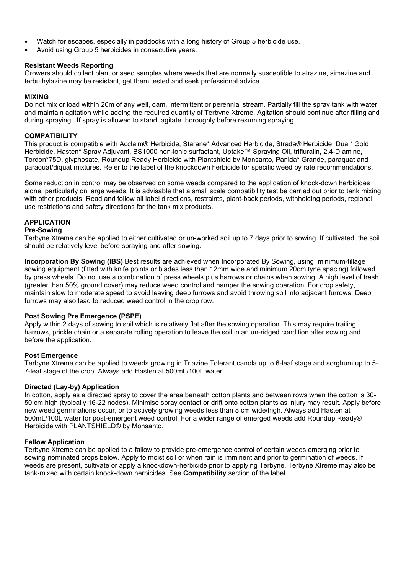- Watch for escapes, especially in paddocks with a long history of Group 5 herbicide use.
- Avoid using Group 5 herbicides in consecutive years.

#### **Resistant Weeds Reporting**

Growers should collect plant or seed samples where weeds that are normally susceptible to atrazine, simazine and terbuthylazine may be resistant, get them tested and seek professional advice.

#### **MIXING**

Do not mix or load within 20m of any well, dam, intermittent or perennial stream. Partially fill the spray tank with water and maintain agitation while adding the required quantity of Terbyne Xtreme. Agitation should continue after filling and during spraying. If spray is allowed to stand, agitate thoroughly before resuming spraying.

#### **COMPATIBILITY**

This product is compatible with Acclaim® Herbicide, Starane\* Advanced Herbicide, Strada® Herbicide, Dual\* Gold Herbicide, Hasten\* Spray Adjuvant, BS1000 non-ionic surfactant, Uptake™ Spraying Oil, trifluralin, 2,4-D amine, Tordon\*75D, glyphosate, Roundup Ready Herbicide with Plantshield by Monsanto, Panida\* Grande, paraquat and paraquat/diquat mixtures. Refer to the label of the knockdown herbicide for specific weed by rate recommendations.

Some reduction in control may be observed on some weeds compared to the application of knock-down herbicides alone, particularly on large weeds. It is advisable that a small scale compatibility test be carried out prior to tank mixing with other products. Read and follow all label directions, restraints, plant-back periods, withholding periods, regional use restrictions and safety directions for the tank mix products.

# **APPLICATION**

#### **Pre-Sowing**

Terbyne Xtreme can be applied to either cultivated or un-worked soil up to 7 days prior to sowing. If cultivated, the soil should be relatively level before spraying and after sowing.

**Incorporation By Sowing (IBS)** Best results are achieved when Incorporated By Sowing, using minimum-tillage sowing equipment (fitted with knife points or blades less than 12mm wide and minimum 20cm tyne spacing) followed by press wheels. Do not use a combination of press wheels plus harrows or chains when sowing. A high level of trash (greater than 50% ground cover) may reduce weed control and hamper the sowing operation. For crop safety, maintain slow to moderate speed to avoid leaving deep furrows and avoid throwing soil into adjacent furrows. Deep furrows may also lead to reduced weed control in the crop row.

# **Post Sowing Pre Emergence (PSPE)**

Apply within 2 days of sowing to soil which is relatively flat after the sowing operation. This may require trailing harrows, prickle chain or a separate rolling operation to leave the soil in an un-ridged condition after sowing and before the application.

#### **Post Emergence**

Terbyne Xtreme can be applied to weeds growing in Triazine Tolerant canola up to 6-leaf stage and sorghum up to 5- 7-leaf stage of the crop. Always add Hasten at 500mL/100L water.

#### **Directed (Lay-by) Application**

In cotton, apply as a directed spray to cover the area beneath cotton plants and between rows when the cotton is 30- 50 cm high (typically 16-22 nodes). Minimise spray contact or drift onto cotton plants as injury may result. Apply before new weed germinations occur, or to actively growing weeds less than 8 cm wide/high. Always add Hasten at 500mL/100L water for post-emergent weed control. For a wider range of emerged weeds add Roundup Ready® Herbicide with PLANTSHIELD® by Monsanto.

#### **Fallow Application**

Terbyne Xtreme can be applied to a fallow to provide pre-emergence control of certain weeds emerging prior to sowing nominated crops below. Apply to moist soil or when rain is imminent and prior to germination of weeds. If weeds are present, cultivate or apply a knockdown-herbicide prior to applying Terbyne. Terbyne Xtreme may also be tank-mixed with certain knock-down herbicides. See **Compatibility** section of the label.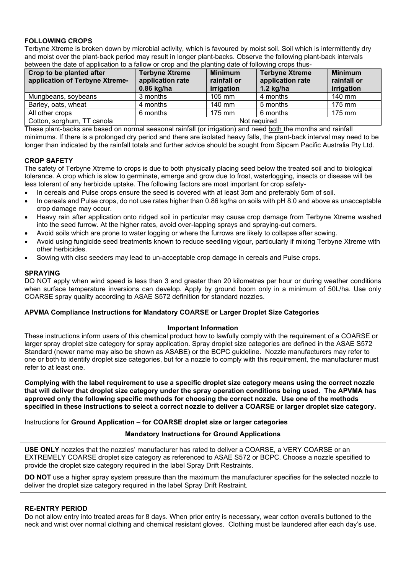# **FOLLOWING CROPS**

Terbyne Xtreme is broken down by microbial activity, which is favoured by moist soil. Soil which is intermittently dry and moist over the plant-back period may result in longer plant-backs. Observe the following plant-back intervals between the date of application to a fallow or crop and the planting date of following crops thus-

| Crop to be planted after<br>application of Terbyne Xtreme- | <b>Terbyne Xtreme</b><br>application rate<br>$0.86$ kg/ha | <b>Minimum</b><br>rainfall or<br>irrigation | <b>Terbyne Xtreme</b><br>application rate<br>1.2 $kg/ha$ | <b>Minimum</b><br>rainfall or<br>irrigation |
|------------------------------------------------------------|-----------------------------------------------------------|---------------------------------------------|----------------------------------------------------------|---------------------------------------------|
| Mungbeans, soybeans                                        | 3 months                                                  | $105$ mm                                    | 4 months                                                 | 140 mm                                      |
| Barley, oats, wheat                                        | 4 months                                                  | 140 mm                                      | 5 months                                                 | 175 mm                                      |
| All other crops                                            | 6 months                                                  | 175 mm                                      | 6 months                                                 | 175 mm                                      |
| Cotton, sorghum, TT canola                                 | Not reguired                                              |                                             |                                                          |                                             |

These plant-backs are based on normal seasonal rainfall (or irrigation) and need both the months and rainfall minimums. If there is a prolonged dry period and there are isolated heavy falls, the plant-back interval may need to be longer than indicated by the rainfall totals and further advice should be sought from Sipcam Pacific Australia Pty Ltd.

# **CROP SAFETY**

The safety of Terbyne Xtreme to crops is due to both physically placing seed below the treated soil and to biological tolerance. A crop which is slow to germinate, emerge and grow due to frost, waterlogging, insects or disease will be less tolerant of any herbicide uptake. The following factors are most important for crop safety-

- In cereals and Pulse crops ensure the seed is covered with at least 3cm and preferably 5cm of soil.
- In cereals and Pulse crops, do not use rates higher than 0.86 kg/ha on soils with pH 8.0 and above as unacceptable crop damage may occur.
- Heavy rain after application onto ridged soil in particular may cause crop damage from Terbyne Xtreme washed into the seed furrow. At the higher rates, avoid over-lapping sprays and spraying-out corners.
- Avoid soils which are prone to water logging or where the furrows are likely to collapse after sowing.
- Avoid using fungicide seed treatments known to reduce seedling vigour, particularly if mixing Terbyne Xtreme with other herbicides.
- Sowing with disc seeders may lead to un-acceptable crop damage in cereals and Pulse crops.

# **SPRAYING**

DO NOT apply when wind speed is less than 3 and greater than 20 kilometres per hour or during weather conditions when surface temperature inversions can develop. Apply by ground boom only in a minimum of 50L/ha. Use only COARSE spray quality according to ASAE S572 definition for standard nozzles.

#### **APVMA Compliance Instructions for Mandatory COARSE or Larger Droplet Size Categories**

#### **Important Information**

These instructions inform users of this chemical product how to lawfully comply with the requirement of a COARSE or larger spray droplet size category for spray application. Spray droplet size categories are defined in the ASAE S572 Standard (newer name may also be shown as ASABE) or the BCPC guideline. Nozzle manufacturers may refer to one or both to identify droplet size categories, but for a nozzle to comply with this requirement, the manufacturer must refer to at least one.

**Complying with the label requirement to use a specific droplet size category means using the correct nozzle that will deliver that droplet size category under the spray operation conditions being used. The APVMA has approved only the following specific methods for choosing the correct nozzle. Use one of the methods specified in these instructions to select a correct nozzle to deliver a COARSE or larger droplet size category.**

Instructions for **Ground Application – for COARSE droplet size or larger categories**

#### **Mandatory Instructions for Ground Applications**

**USE ONLY** nozzles that the nozzles' manufacturer has rated to deliver a COARSE, a VERY COARSE or an EXTREMELY COARSE droplet size category as referenced to ASAE S572 or BCPC. Choose a nozzle specified to provide the droplet size category required in the label Spray Drift Restraints.

**DO NOT** use a higher spray system pressure than the maximum the manufacturer specifies for the selected nozzle to deliver the droplet size category required in the label Spray Drift Restraint.

#### **RE-ENTRY PERIOD**

Do not allow entry into treated areas for 8 days. When prior entry is necessary, wear cotton overalls buttoned to the neck and wrist over normal clothing and chemical resistant gloves. Clothing must be laundered after each day's use.